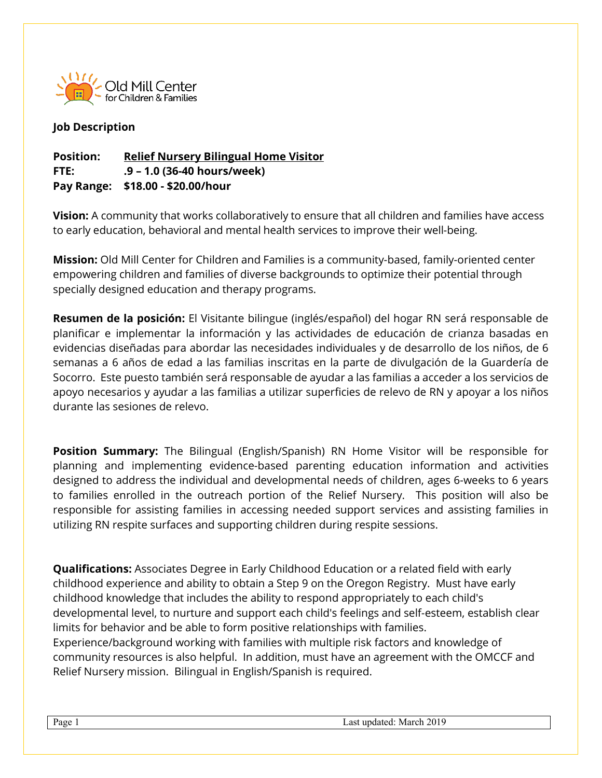

## **Job Description**

## **Position: Relief Nursery Bilingual Home Visitor FTE: .9 – 1.0 (36-40 hours/week) Pay Range: \$18.00 - \$20.00/hour**

**Vision:** A community that works collaboratively to ensure that all children and families have access to early education, behavioral and mental health services to improve their well-being.

**Mission:** Old Mill Center for Children and Families is a community-based, family-oriented center empowering children and families of diverse backgrounds to optimize their potential through specially designed education and therapy programs.

**Resumen de la posición:** El Visitante bilingue (inglés/español) del hogar RN será responsable de planificar e implementar la información y las actividades de educación de crianza basadas en evidencias diseñadas para abordar las necesidades individuales y de desarrollo de los niños, de 6 semanas a 6 años de edad a las familias inscritas en la parte de divulgación de la Guardería de Socorro. Este puesto también será responsable de ayudar a las familias a acceder a los servicios de apoyo necesarios y ayudar a las familias a utilizar superficies de relevo de RN y apoyar a los niños durante las sesiones de relevo.

**Position Summary:** The Bilingual (English/Spanish) RN Home Visitor will be responsible for planning and implementing evidence-based parenting education information and activities designed to address the individual and developmental needs of children, ages 6-weeks to 6 years to families enrolled in the outreach portion of the Relief Nursery. This position will also be responsible for assisting families in accessing needed support services and assisting families in utilizing RN respite surfaces and supporting children during respite sessions.

**Qualifications:** Associates Degree in Early Childhood Education or a related field with early childhood experience and ability to obtain a Step 9 on the Oregon Registry. Must have early childhood knowledge that includes the ability to respond appropriately to each child's developmental level, to nurture and support each child's feelings and self-esteem, establish clear limits for behavior and be able to form positive relationships with families. Experience/background working with families with multiple risk factors and knowledge of community resources is also helpful. In addition, must have an agreement with the OMCCF and Relief Nursery mission. Bilingual in English/Spanish is required.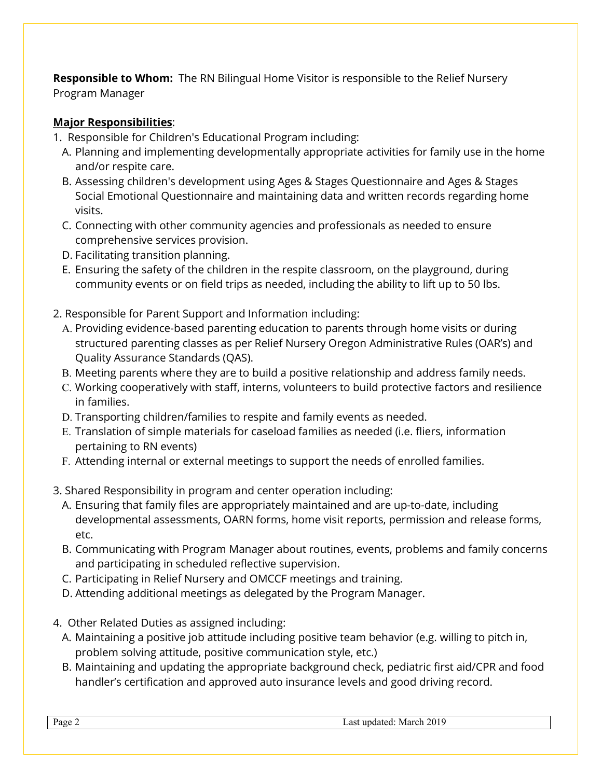**Responsible to Whom:** The RN Bilingual Home Visitor is responsible to the Relief Nursery Program Manager

## **Major Responsibilities**:

- 1. Responsible for Children's Educational Program including:
	- A. Planning and implementing developmentally appropriate activities for family use in the home and/or respite care.
	- B. Assessing children's development using Ages & Stages Questionnaire and Ages & Stages Social Emotional Questionnaire and maintaining data and written records regarding home visits.
	- C. Connecting with other community agencies and professionals as needed to ensure comprehensive services provision.
	- D. Facilitating transition planning.
	- E. Ensuring the safety of the children in the respite classroom, on the playground, during community events or on field trips as needed, including the ability to lift up to 50 lbs.
- 2. Responsible for Parent Support and Information including:
	- A. Providing evidence-based parenting education to parents through home visits or during structured parenting classes as per Relief Nursery Oregon Administrative Rules (OAR's) and Quality Assurance Standards (QAS).
	- B. Meeting parents where they are to build a positive relationship and address family needs.
	- C. Working cooperatively with staff, interns, volunteers to build protective factors and resilience in families.
	- D. Transporting children/families to respite and family events as needed.
	- E. Translation of simple materials for caseload families as needed (i.e. fliers, information pertaining to RN events)
	- F. Attending internal or external meetings to support the needs of enrolled families.
- 3. Shared Responsibility in program and center operation including:
	- A. Ensuring that family files are appropriately maintained and are up-to-date, including developmental assessments, OARN forms, home visit reports, permission and release forms, etc.
	- B. Communicating with Program Manager about routines, events, problems and family concerns and participating in scheduled reflective supervision.
	- C. Participating in Relief Nursery and OMCCF meetings and training.
	- D. Attending additional meetings as delegated by the Program Manager.
- 4. Other Related Duties as assigned including:
	- A. Maintaining a positive job attitude including positive team behavior (e.g. willing to pitch in, problem solving attitude, positive communication style, etc.)
	- B. Maintaining and updating the appropriate background check, pediatric first aid/CPR and food handler's certification and approved auto insurance levels and good driving record.